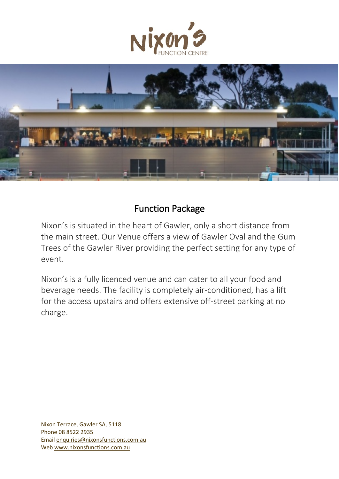



## Function Package

Nixon's is situated in the heart of Gawler, only a short distance from the main street. Our Venue offers a view of Gawler Oval and the Gum Trees of the Gawler River providing the perfect setting for any type of event.

Nixon's is a fully licenced venue and can cater to all your food and beverage needs. The facility is completely air-conditioned, has a lift for the access upstairs and offers extensive off-street parking at no charge.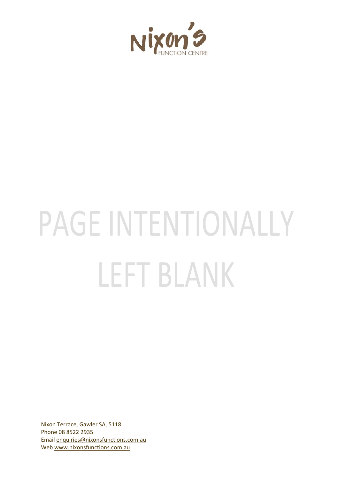

# PAGE INTENTIONALLY LEFT BLANK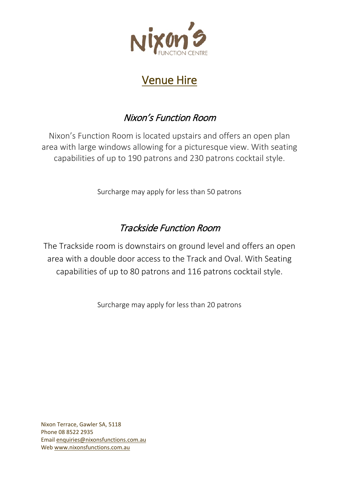

## Venue Hire

## Nixon's Function Room

Nixon's Function Room is located upstairs and offers an open plan area with large windows allowing for a picturesque view. With seating capabilities of up to 190 patrons and 230 patrons cocktail style.

Surcharge may apply for less than 50 patrons

## Trackside Function Room

The Trackside room is downstairs on ground level and offers an open area with a double door access to the Track and Oval. With Seating capabilities of up to 80 patrons and 116 patrons cocktail style.

Surcharge may apply for less than 20 patrons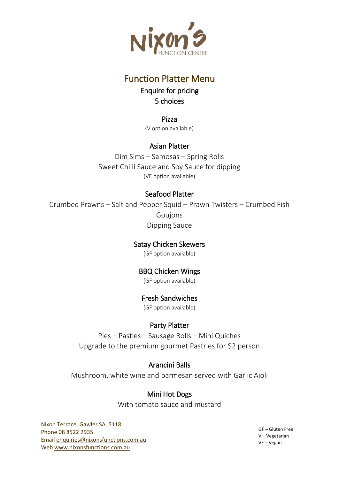

## Function Platter Menu

Enquire for pricing 5 choices

Pizza (V option available)

#### Asian Platter

Dim Sims – Samosas – Spring Rolls Sweet Chilli Sauce and Soy Sauce for dipping (VE option available)

#### Seafood Platter

Crumbed Prawns – Salt and Pepper Squid – Prawn Twisters – Crumbed Fish Goujons Dipping Sauce

#### Satay Chicken Skewers

(GF option available)

#### BBQ Chicken Wings

(GF option available)

#### Fresh Sandwiches

(GF option available)

#### Party Platter

Pies – Pasties – Sausage Rolls – Mini Quiches Upgrade to the premium gourmet Pastries for \$2 person

#### Arancini Balls

Mushroom, white wine and parmesan served with Garlic Aioli

#### Mini Hot Dogs

With tomato sauce and mustard

Nixon Terrace, Gawler SA, 5118 Phone 08 8522 2935 Email [enquiries@nixonsfunctions.com.au](mailto:enquiries@nixonsfunctions.com.au) We[b www.nixonsfunctions.com.au](http://www.nixonsfunctions.com.au/)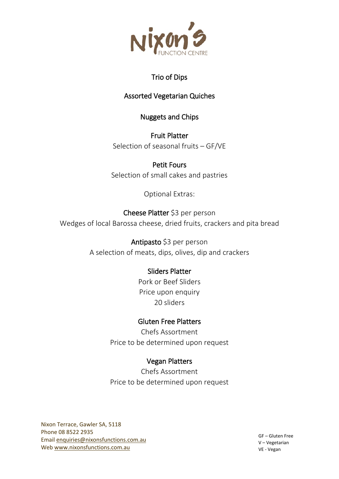

#### Trio of Dips

#### Assorted Vegetarian Quiches

#### Nuggets and Chips

Fruit Platter Selection of seasonal fruits – GF/VE

Petit Fours Selection of small cakes and pastries

Optional Extras:

#### Cheese Platter \$3 per person Wedges of local Barossa cheese, dried fruits, crackers and pita bread

Antipasto \$3 per person A selection of meats, dips, olives, dip and crackers

#### Sliders Platter

Pork or Beef Sliders Price upon enquiry 20 sliders

#### Gluten Free Platters

Chefs Assortment Price to be determined upon request

#### Vegan Platters

Chefs Assortment Price to be determined upon request

Nixon Terrace, Gawler SA, 5118 Phone 08 8522 2935 Email [enquiries@nixonsfunctions.com.au](mailto:enquiries@nixonsfunctions.com.au) We[b www.nixonsfunctions.com.au](http://www.nixonsfunctions.com.au/)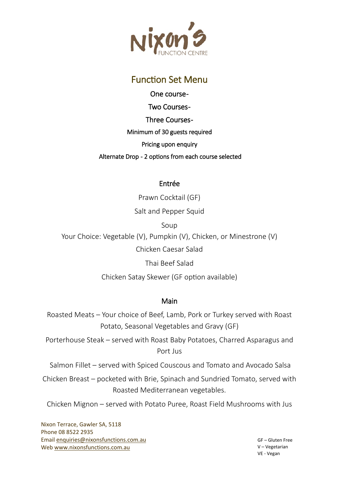

### **Function Set Menu**

One course - **Two Courses-**Three Courses-Minimum of 30 guests required Pricing upon enquiry Alternate Drop - 2 options from each course selected

#### Entrée

Prawn Cocktail (GF)

Salt and Pepper Squid

Soup

Your Choice: Vegetable (V), Pumpkin (V), Chicken, or Minestrone (V) Chicken Caesar Salad

Thai Beef Salad

Chicken Satay Skewer (GF option available)

#### Main

Roasted Meats – Your choice of Beef, Lamb, Pork or Turkey served with Roast Potato, Seasonal Vegetables and Gravy (GF)

Porterhouse Steak – served with Roast Baby Potatoes, Charred Asparagus and Port Jus

Salmon Fillet – served with Spiced Couscous and Tomato and Avocado Salsa

Chicken Breast – pocketed with Brie, Spinach and Sundried Tomato, served with Roasted Mediterranean vegetables.

Chicken Mignon – served with Potato Puree, Roast Field Mushrooms with Jus

Nixon Terrace, Gawler SA, 5118 Phone 08 8522 2935 Email [enquiries@nixonsfunctions.com.au](mailto:enquiries@nixonsfunctions.com.au) We[b www.nixonsfunctions.com.au](http://www.nixonsfunctions.com.au/)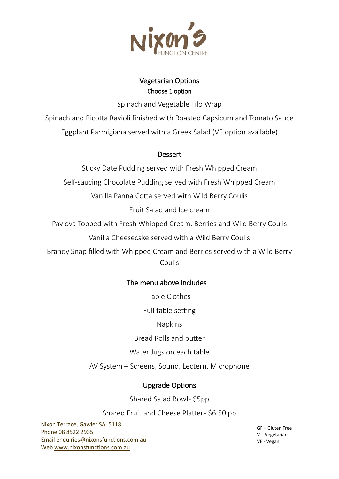

#### Vegetarian Options Choose 1 option

Spinach and Vegetable Filo Wrap

Spinach and Ricotta Ravioli finished with Roasted Capsicum and Tomato Sauce

Eggplant Parmigiana served with a Greek Salad (VE option available)

#### **Dessert**

Sticky Date Pudding served with Fresh Whipped Cream

Self-saucing Chocolate Pudding served with Fresh Whipped Cream

Vanilla Panna Cotta served with Wild Berry Coulis

Fruit Salad and Ice cream

Pavlova Topped with Fresh Whipped Cream, Berries and Wild Berry Coulis

Vanilla Cheesecake served with a Wild Berry Coulis

Brandy Snap filled with Whipped Cream and Berries served with a Wild Berry Coulis

#### The menu above includes –

Table Clothes

Full table setting

Napkins

Bread Rolls and butter

Water Jugs on each table

AV System – Screens, Sound, Lectern, Microphone

## **Upgrade Options**

Shared Salad Bowl- \$5pp

Shared Fruit and Cheese Platter- \$6.50 pp

Nixon Terrace, Gawler SA, 5118 Phone 08 8522 2935 Email [enquiries@nixonsfunctions.com.au](mailto:enquiries@nixonsfunctions.com.au) We[b www.nixonsfunctions.com.au](http://www.nixonsfunctions.com.au/)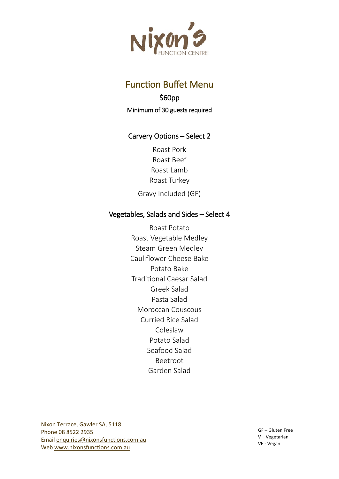

## **Function Buffet Menu**

#### \$60pp Minimum of 30 guests required

#### Carvery Options – Select 2

Roast Pork Roast Beef Roast Lamb Roast Turkey Gravy Included (GF)

#### Vegetables, Salads and Sides – Select 4

Roast Potato Roast Vegetable Medley Steam Green Medley Cauliflower Cheese Bake Potato Bake Tradi�onal Caesar Salad Greek Salad Pasta Salad Moroccan Couscous Curried Rice Salad Coleslaw Potato Salad Seafood Salad Beetroot Garden Salad

Nixon Terrace, Gawler SA, 5118 Phone 08 8522 2935 Email [enquiries@nixonsfunctions.com.au](mailto:enquiries@nixonsfunctions.com.au) We[b www.nixonsfunctions.com.au](http://www.nixonsfunctions.com.au/)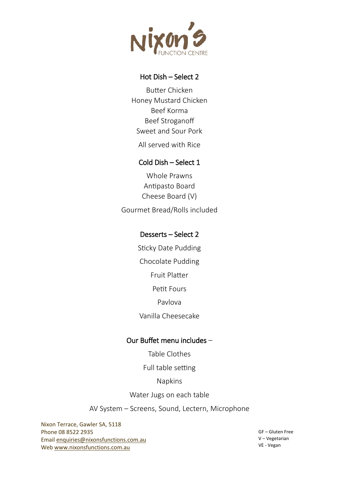

#### Hot Dish – Select 2

Buter Chicken Honey Mustard Chicken Beef Korma Beef Stroganoff Sweet and Sour Pork

All served with Rice

#### Cold Dish – Select 1

Whole Prawns Antipasto Board Cheese Board (V) Gourmet Bread/Rolls included

#### Desserts – Select 2

Sticky Date Pudding Chocolate Pudding Fruit Plater Petit Fours Pavlova Vanilla Cheesecake

#### Our Buffet menu includes –

Table Clothes

Full table setting

#### Napkins

Water Jugs on each table

AV System – Screens, Sound, Lectern, Microphone

Nixon Terrace, Gawler SA, 5118 Phone 08 8522 2935 Email [enquiries@nixonsfunctions.com.au](mailto:enquiries@nixonsfunctions.com.au) We[b www.nixonsfunctions.com.au](http://www.nixonsfunctions.com.au/)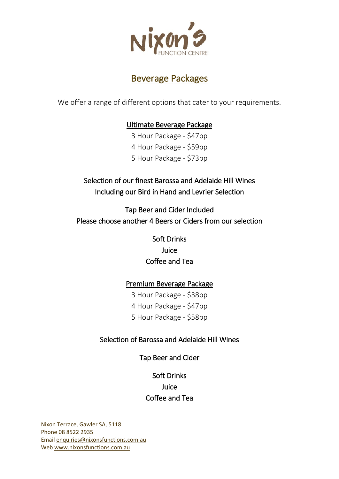

## Beverage Packages

We offer a range of different options that cater to your requirements.

#### Ultimate Beverage Package

3 Hour Package - \$47pp 4 Hour Package - \$59pp 5 Hour Package - \$73pp

Selection of our finest Barossa and Adelaide Hill Wines Including our Bird in Hand and Levrier Selection

Tap Beer and Cider Included Please choose another 4 Beers or Ciders from our selection

> Soft Drinks Juice Coffee and Tea

#### Premium Beverage Package

3 Hour Package - \$38pp 4 Hour Package - \$47pp 5 Hour Package - \$58pp

#### Selection of Barossa and Adelaide Hill Wines

Tap Beer and Cider

Soft Drinks Juice Coffee and Tea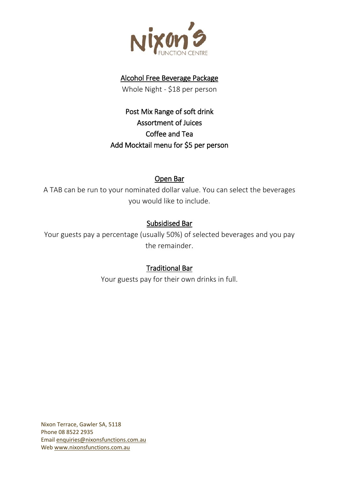

#### Alcohol Free Beverage Package

Whole Night - \$18 per person

Post Mix Range of soft drink Assortment of Juices Coffee and Tea Add Mocktail menu for \$5 per person

#### Open Bar

A TAB can be run to your nominated dollar value. You can select the beverages you would like to include.

#### Subsidised Bar

Your guests pay a percentage (usually 50%) of selected beverages and you pay the remainder.

#### Traditional Bar

Your guests pay for their own drinks in full.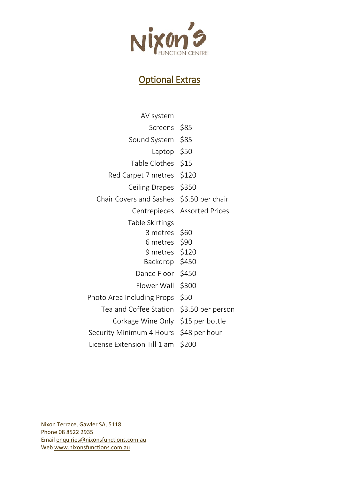

## Optional Extras

| AV system                              |                              |
|----------------------------------------|------------------------------|
| Screens                                | \$85                         |
| Sound System                           | \$85                         |
| Laptop                                 | \$50                         |
| Table Clothes                          | \$15                         |
| Red Carpet 7 metres                    | \$120                        |
| Ceiling Drapes                         | \$350                        |
| Chair Covers and Sashes                | \$6.50 per chair             |
|                                        | Centrepieces Assorted Prices |
| Table Skirtings                        |                              |
| 3 metres \$60                          |                              |
| 6 metres \$90                          |                              |
| 9 metres \$120                         |                              |
| Backdrop \$450                         |                              |
| Dance Floor \$450                      |                              |
| Flower Wall                            | \$300                        |
| Photo Area Including Props             | \$50                         |
| Tea and Coffee Station                 | \$3.50 per person            |
| Corkage Wine Only \$15 per bottle      |                              |
| Security Minimum 4 Hours \$48 per hour |                              |
| License Extension Till 1 am            | \$200                        |
|                                        |                              |